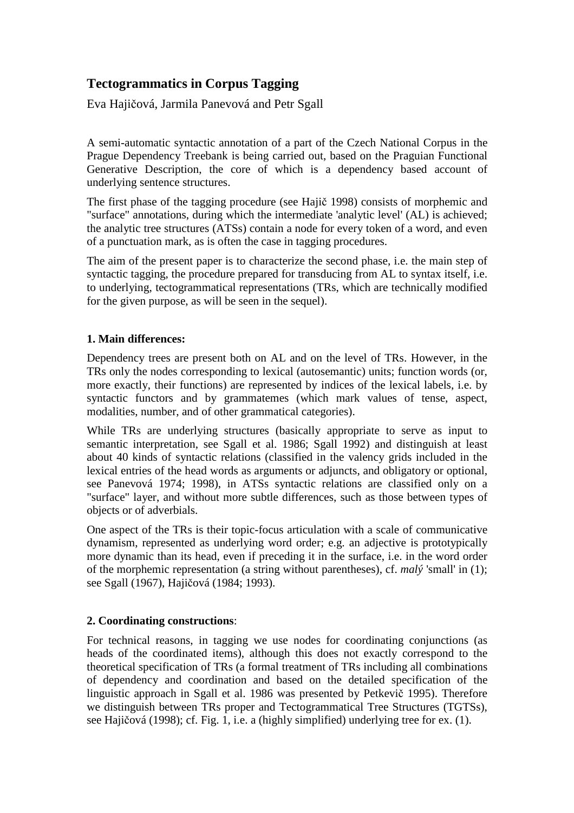# **Tectogrammatics in Corpus Tagging**

Eva Hajičová, Jarmila Panevová and Petr Sgall

A semi-automatic syntactic annotation of a part of the Czech National Corpus in the Prague Dependency Treebank is being carried out, based on the Praguian Functional Generative Description, the core of which is a dependency based account of underlying sentence structures.

The first phase of the tagging procedure (see Hajič 1998) consists of morphemic and "surface" annotations, during which the intermediate 'analytic level' (AL) is achieved; the analytic tree structures (ATSs) contain a node for every token of a word, and even of a punctuation mark, as is often the case in tagging procedures.

The aim of the present paper is to characterize the second phase, i.e. the main step of syntactic tagging, the procedure prepared for transducing from AL to syntax itself, i.e. to underlying, tectogrammatical representations (TRs, which are technically modified for the given purpose, as will be seen in the sequel).

# **1. Main differences:**

Dependency trees are present both on AL and on the level of TRs. However, in the TRs only the nodes corresponding to lexical (autosemantic) units; function words (or, more exactly, their functions) are represented by indices of the lexical labels, i.e. by syntactic functors and by grammatemes (which mark values of tense, aspect, modalities, number, and of other grammatical categories).

While TRs are underlying structures (basically appropriate to serve as input to semantic interpretation, see Sgall et al. 1986; Sgall 1992) and distinguish at least about 40 kinds of syntactic relations (classified in the valency grids included in the lexical entries of the head words as arguments or adjuncts, and obligatory or optional, see Panevová 1974; 1998), in ATSs syntactic relations are classified only on a "surface" layer, and without more subtle differences, such as those between types of objects or of adverbials.

One aspect of the TRs is their topic-focus articulation with a scale of communicative dynamism, represented as underlying word order; e.g. an adjective is prototypically more dynamic than its head, even if preceding it in the surface, i.e. in the word order of the morphemic representation (a string without parentheses), cf. *malý* 'small' in (1); see Sgall (1967), Hajičová (1984; 1993).

#### **2. Coordinating constructions**:

For technical reasons, in tagging we use nodes for coordinating conjunctions (as heads of the coordinated items), although this does not exactly correspond to the theoretical specification of TRs (a formal treatment of TRs including all combinations of dependency and coordination and based on the detailed specification of the linguistic approach in Sgall et al. 1986 was presented by Petkevič 1995). Therefore we distinguish between TRs proper and Tectogrammatical Tree Structures (TGTSs), see Hajičová (1998); cf. Fig. 1, i.e. a (highly simplified) underlying tree for ex. (1).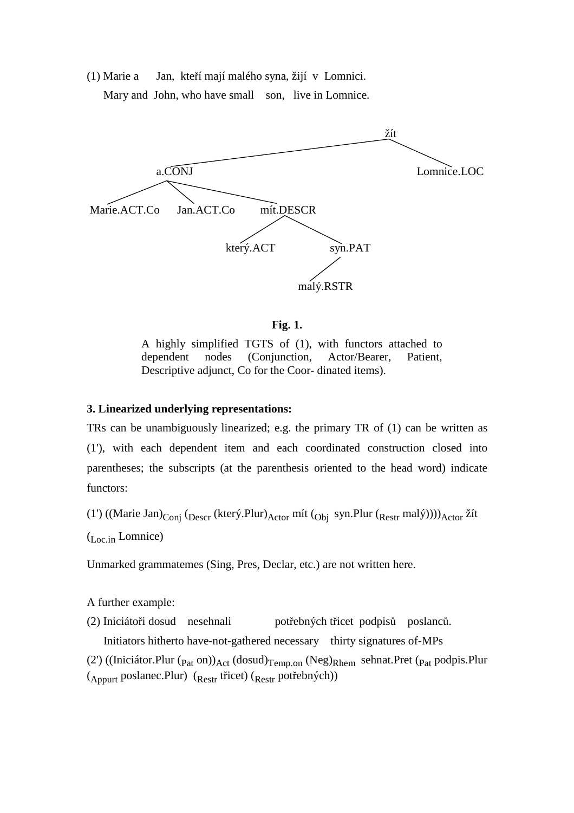(1) Marie a Jan, kteří mají malého syna, žijí v Lomnici.

Mary and John, who have small son, live in Lomnice.





A highly simplified TGTS of (1), with functors attached to dependent nodes (Conjunction, Actor/Bearer, Patient, Descriptive adjunct, Co for the Coor- dinated items).

# **3. Linearized underlying representations:**

TRs can be unambiguously linearized; e.g. the primary TR of (1) can be written as (1'), with each dependent item and each coordinated construction closed into parentheses; the subscripts (at the parenthesis oriented to the head word) indicate functors:

(1') ((Marie Jan) $_{Coni}$  ( $_{Descr}$  (který.Plur) $_{Actor}$  mít ( $_{Obj}$  syn.Plur ( $_{Restr}$  malý)))) $_{Actor}$  žít

 $(t_{\text{loc in}}$  Lomnice)

Unmarked grammatemes (Sing, Pres, Declar, etc.) are not written here.

A further example:

(2) Iniciátoři dosud nesehnali potřebných třicet podpisů poslanců. Initiators hitherto have-not-gathered necessary thirty signatures of-MPs

(2') ((Iniciátor.Plur ( $_{\text{Pat}}$  on)) $_{\text{Act}}$  (dosud) $_{\text{Temp,on}}$  (Neg) $_{\text{Rhem}}$  sehnat.Pret ( $_{\text{Pat}}$  podpis.Plur (Appurt poslanec.Plur) (Restr třicet) (Restr potřebných))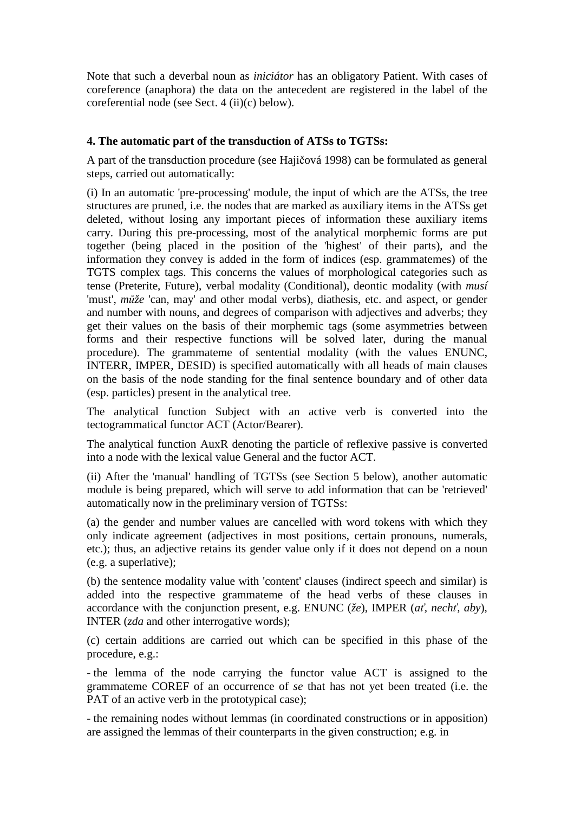Note that such a deverbal noun as *iniciátor* has an obligatory Patient. With cases of coreference (anaphora) the data on the antecedent are registered in the label of the coreferential node (see Sect. 4 (ii)(c) below).

## **4. The automatic part of the transduction of ATSs to TGTSs:**

A part of the transduction procedure (see Hajičová 1998) can be formulated as general steps, carried out automatically:

(i) In an automatic 'pre-processing' module, the input of which are the ATSs, the tree structures are pruned, i.e. the nodes that are marked as auxiliary items in the ATSs get deleted, without losing any important pieces of information these auxiliary items carry. During this pre-processing, most of the analytical morphemic forms are put together (being placed in the position of the 'highest' of their parts), and the information they convey is added in the form of indices (esp. grammatemes) of the TGTS complex tags. This concerns the values of morphological categories such as tense (Preterite, Future), verbal modality (Conditional), deontic modality (with *musí* 'must', *m*ů*že* 'can, may' and other modal verbs), diathesis, etc. and aspect, or gender and number with nouns, and degrees of comparison with adjectives and adverbs; they get their values on the basis of their morphemic tags (some asymmetries between forms and their respective functions will be solved later, during the manual procedure). The grammateme of sentential modality (with the values ENUNC, INTERR, IMPER, DESID) is specified automatically with all heads of main clauses on the basis of the node standing for the final sentence boundary and of other data (esp. particles) present in the analytical tree.

The analytical function Subject with an active verb is converted into the tectogrammatical functor ACT (Actor/Bearer).

The analytical function AuxR denoting the particle of reflexive passive is converted into a node with the lexical value General and the fuctor ACT.

(ii) After the 'manual' handling of TGTSs (see Section 5 below), another automatic module is being prepared, which will serve to add information that can be 'retrieved' automatically now in the preliminary version of TGTSs:

(a) the gender and number values are cancelled with word tokens with which they only indicate agreement (adjectives in most positions, certain pronouns, numerals, etc.); thus, an adjective retains its gender value only if it does not depend on a noun (e.g. a superlative);

(b) the sentence modality value with 'content' clauses (indirect speech and similar) is added into the respective grammateme of the head verbs of these clauses in accordance with the conjunction present, e.g. ENUNC (*že*), IMPER (*a*ť*, nech*ť*, aby*), INTER (*zda* and other interrogative words);

(c) certain additions are carried out which can be specified in this phase of the procedure, e.g.:

- the lemma of the node carrying the functor value ACT is assigned to the grammateme COREF of an occurrence of *se* that has not yet been treated (i.e. the PAT of an active verb in the prototypical case);

- the remaining nodes without lemmas (in coordinated constructions or in apposition) are assigned the lemmas of their counterparts in the given construction; e.g. in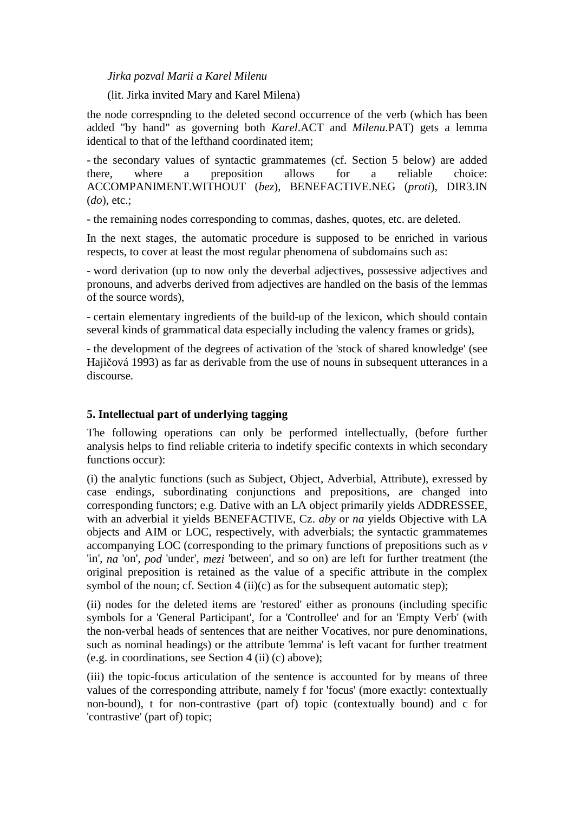*Jirka pozval Marii a Karel Milenu* 

### (lit. Jirka invited Mary and Karel Milena)

the node correspnding to the deleted second occurrence of the verb (which has been added "by hand" as governing both *Karel*.ACT and *Milenu*.PAT) gets a lemma identical to that of the lefthand coordinated item;

- the secondary values of syntactic grammatemes (cf. Section 5 below) are added there, where a preposition allows for a reliable choice: ACCOMPANIMENT.WITHOUT (*bez*)*,* BENEFACTIVE.NEG (*proti*), DIR3.IN (*do*)*,* etc.;

- the remaining nodes corresponding to commas, dashes, quotes, etc. are deleted.

In the next stages, the automatic procedure is supposed to be enriched in various respects, to cover at least the most regular phenomena of subdomains such as:

- word derivation (up to now only the deverbal adjectives, possessive adjectives and pronouns, and adverbs derived from adjectives are handled on the basis of the lemmas of the source words),

- certain elementary ingredients of the build-up of the lexicon, which should contain several kinds of grammatical data especially including the valency frames or grids),

- the development of the degrees of activation of the 'stock of shared knowledge' (see Hajičová 1993) as far as derivable from the use of nouns in subsequent utterances in a discourse.

# **5. Intellectual part of underlying tagging**

The following operations can only be performed intellectually, (before further analysis helps to find reliable criteria to indetify specific contexts in which secondary functions occur):

(i) the analytic functions (such as Subject, Object, Adverbial, Attribute), exressed by case endings, subordinating conjunctions and prepositions, are changed into corresponding functors; e.g. Dative with an LA object primarily yields ADDRESSEE, with an adverbial it yields BENEFACTIVE, Cz. *aby* or *na* yields Objective with LA objects and AIM or LOC, respectively, with adverbials; the syntactic grammatemes accompanying LOC (corresponding to the primary functions of prepositions such as *v* 'in', *na* 'on', *pod* 'under', *mezi* 'between', and so on) are left for further treatment (the original preposition is retained as the value of a specific attribute in the complex symbol of the noun; cf. Section  $4 \text{ (ii)(c)}$  as for the subsequent automatic step);

(ii) nodes for the deleted items are 'restored' either as pronouns (including specific symbols for a 'General Participant', for a 'Controllee' and for an 'Empty Verb' (with the non-verbal heads of sentences that are neither Vocatives, nor pure denominations, such as nominal headings) or the attribute 'lemma' is left vacant for further treatment (e.g. in coordinations, see Section 4 (ii) (c) above);

(iii) the topic-focus articulation of the sentence is accounted for by means of three values of the corresponding attribute, namely f for 'focus' (more exactly: contextually non-bound), t for non-contrastive (part of) topic (contextually bound) and c for 'contrastive' (part of) topic;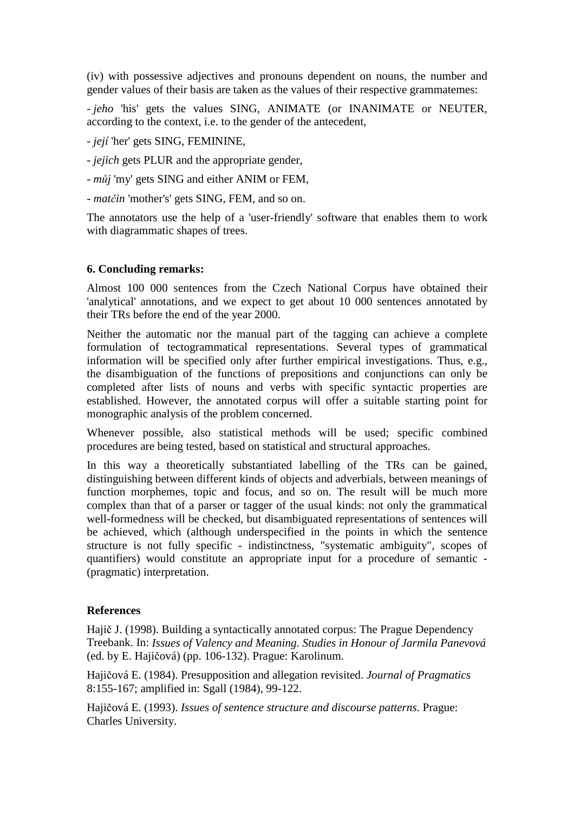(iv) with possessive adjectives and pronouns dependent on nouns, the number and gender values of their basis are taken as the values of their respective grammatemes:

- *jeho* 'his' gets the values SING, ANIMATE (or INANIMATE or NEUTER*,* according to the context, i.e. to the gender of the antecedent,

### - *její* 'her' gets SING, FEMININE*,*

- *jejich* gets PLUR and the appropriate gender,

- *m*ů*j* 'my' gets SING and either ANIM or FEM,
- *mat*č*in* 'mother's' gets SING, FEM, and so on.

The annotators use the help of a 'user-friendly' software that enables them to work with diagrammatic shapes of trees.

## **6. Concluding remarks:**

Almost 100 000 sentences from the Czech National Corpus have obtained their 'analytical' annotations, and we expect to get about 10 000 sentences annotated by their TRs before the end of the year 2000.

Neither the automatic nor the manual part of the tagging can achieve a complete formulation of tectogrammatical representations. Several types of grammatical information will be specified only after further empirical investigations. Thus, e.g., the disambiguation of the functions of prepositions and conjunctions can only be completed after lists of nouns and verbs with specific syntactic properties are established. However, the annotated corpus will offer a suitable starting point for monographic analysis of the problem concerned.

Whenever possible, also statistical methods will be used; specific combined procedures are being tested, based on statistical and structural approaches.

In this way a theoretically substantiated labelling of the TRs can be gained, distinguishing between different kinds of objects and adverbials, between meanings of function morphemes, topic and focus, and so on. The result will be much more complex than that of a parser or tagger of the usual kinds: not only the grammatical well-formedness will be checked, but disambiguated representations of sentences will be achieved, which (although underspecified in the points in which the sentence structure is not fully specific - indistinctness, "systematic ambiguity", scopes of quantifiers) would constitute an appropriate input for a procedure of semantic - (pragmatic) interpretation.

#### **References**

Hajič J. (1998). Building a syntactically annotated corpus: The Prague Dependency Treebank. In: *Issues of Valency and Meaning. Studies in Honour of Jarmila Panevová* (ed. by E. Hajičová) (pp. 106-132). Prague: Karolinum.

Hajičová E. (1984). Presupposition and allegation revisited. *Journal of Pragmatics* 8:155-167; amplified in: Sgall (1984), 99-122.

Hajičová E. (1993). *Issues of sentence structure and discourse patterns.* Prague: Charles University.